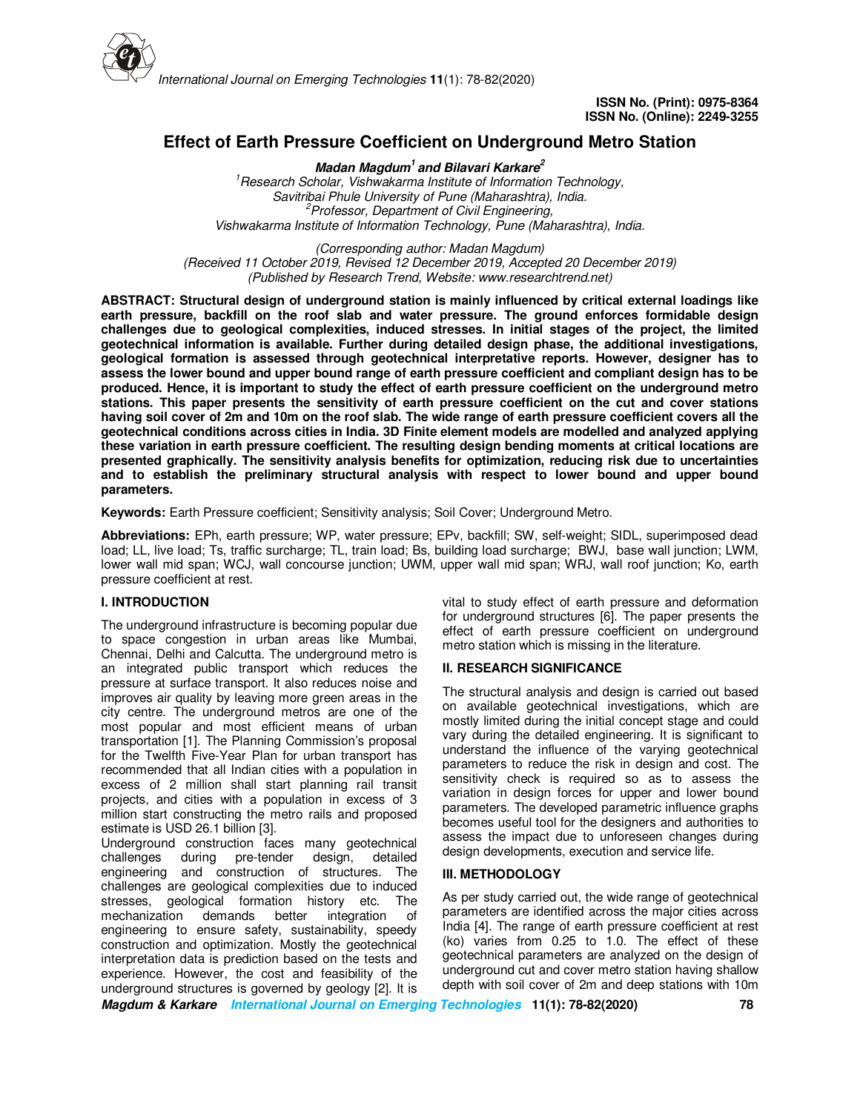

# **Effect of Earth Pressure Coefficient on Underground Metro Station**

**Madan Magdum<sup>1</sup>and Bilavari Karkare<sup>2</sup>** *<sup>1</sup>Research Scholar, Vishwakarma Institute of Information Technology, Savitribai Phule University of Pune (Maharashtra), India. <sup>2</sup>Professor, Department of Civil Engineering, Vishwakarma Institute of Information Technology, Pune (Maharashtra), India.* 

*(Corresponding author: Madan Magdum) (Received 11 October 2019, Revised 12 December 2019, Accepted 20 December 2019) (Published by Research Trend, Website: www.researchtrend.net)* 

**ABSTRACT: Structural design of underground station is mainly influenced by critical external loadings like earth pressure, backfill on the roof slab and water pressure. The ground enforces formidable design challenges due to geological complexities, induced stresses. In initial stages of the project, the limited geotechnical information is available. Further during detailed design phase, the additional investigations, geological formation is assessed through geotechnical interpretative reports. However, designer has to assess the lower bound and upper bound range of earth pressure coefficient and compliant design has to be produced. Hence, it is important to study the effect of earth pressure coefficient on the underground metro stations. This paper presents the sensitivity of earth pressure coefficient on the cut and cover stations having soil cover of 2m and 10m on the roof slab. The wide range of earth pressure coefficient covers all the geotechnical conditions across cities in India. 3D Finite element models are modelled and analyzed applying these variation in earth pressure coefficient. The resulting design bending moments at critical locations are presented graphically. The sensitivity analysis benefits for optimization, reducing risk due to uncertainties and to establish the preliminary structural analysis with respect to lower bound and upper bound parameters.** 

**Keywords:** Earth Pressure coefficient; Sensitivity analysis; Soil Cover; Underground Metro.

**Abbreviations:** EPh, earth pressure; WP, water pressure; EPv, backfill; SW, self-weight; SIDL, superimposed dead load; LL, live load; Ts, traffic surcharge; TL, train load; Bs, building load surcharge; BWJ, base wall junction; LWM, lower wall mid span; WCJ, wall concourse junction; UWM, upper wall mid span; WRJ, wall roof junction; Ko, earth pressure coefficient at rest.

# **I. INTRODUCTION**

The underground infrastructure is becoming popular due to space congestion in urban areas like Mumbai, Chennai, Delhi and Calcutta. The underground metro is an integrated public transport which reduces the pressure at surface transport. It also reduces noise and improves air quality by leaving more green areas in the city centre. The underground metros are one of the most popular and most efficient means of urban transportation [1]. The Planning Commission's proposal for the Twelfth Five-Year Plan for urban transport has recommended that all Indian cities with a population in excess of 2 million shall start planning rail transit projects, and cities with a population in excess of 3 million start constructing the metro rails and proposed estimate is USD 26.1 billion [3].

Underground construction faces many geotechnical challenges during pre-tender design, detailed engineering and construction of structures. The challenges are geological complexities due to induced stresses, geological formation history etc. The mechanization demands better integration of engineering to ensure safety, sustainability, speedy construction and optimization. Mostly the geotechnical interpretation data is prediction based on the tests and experience. However, the cost and feasibility of the underground structures is governed by geology [2]. It is

vital to study effect of earth pressure and deformation for underground structures [6]. The paper presents the effect of earth pressure coefficient on underground metro station which is missing in the literature.

# **II. RESEARCH SIGNIFICANCE**

The structural analysis and design is carried out based on available geotechnical investigations, which are mostly limited during the initial concept stage and could vary during the detailed engineering. It is significant to understand the influence of the varying geotechnical parameters to reduce the risk in design and cost. The sensitivity check is required so as to assess the variation in design forces for upper and lower bound parameters. The developed parametric influence graphs becomes useful tool for the designers and authorities to assess the impact due to unforeseen changes during design developments, execution and service life.

# **III. METHODOLOGY**

As per study carried out, the wide range of geotechnical parameters are identified across the major cities across India [4]. The range of earth pressure coefficient at rest (ko) varies from 0.25 to 1.0. The effect of these geotechnical parameters are analyzed on the design of underground cut and cover metro station having shallow depth with soil cover of 2m and deep stations with 10m

**Magdum & Karkare International Journal on Emerging Technologies 11(1): 78-82(2020) 78**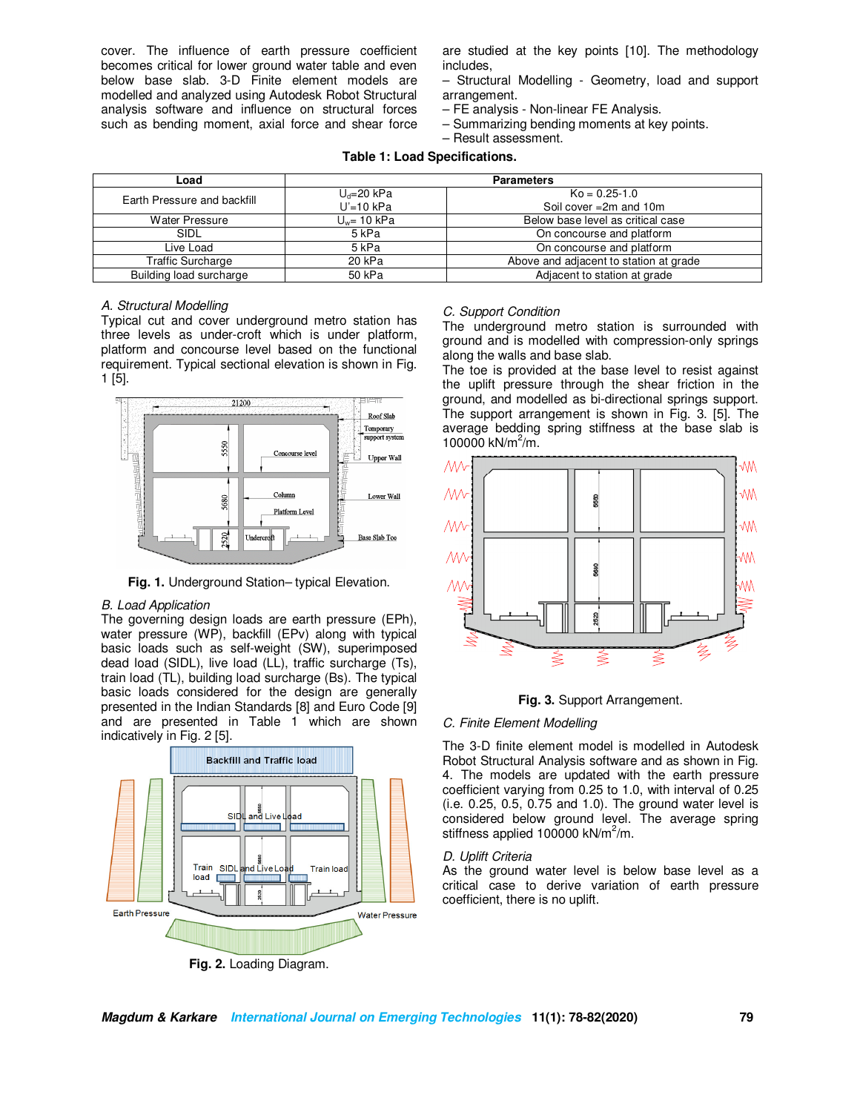cover. The influence of earth pressure coefficient becomes critical for lower ground water table and even below base slab. 3-D Finite element models are modelled and analyzed using Autodesk Robot Structural analysis software and influence on structural forces such as bending moment, axial force and shear force are studied at the key points [10]. The methodology includes,

- Structural Modelling Geometry, load and support arrangement.
- FE analysis Non-linear FE Analysis.
- Summarizing bending moments at key points.
- Result assessment.

# **Table 1: Load Specifications.**

| Load                        | <b>Parameters</b> |                                        |  |
|-----------------------------|-------------------|----------------------------------------|--|
| Earth Pressure and backfill | $U_d = 20$ kPa    | $Ko = 0.25 - 1.0$                      |  |
|                             | $U'=10$ kPa       | Soil cover $=2m$ and 10m               |  |
| Water Pressure              | $U_w$ = 10 kPa    | Below base level as critical case      |  |
| SIDL                        | 5 <sub>kPa</sub>  | On concourse and platform              |  |
| Live Load                   | 5 kPa             | On concourse and platform              |  |
| <b>Traffic Surcharge</b>    | 20 kPa            | Above and adjacent to station at grade |  |
| Building load surcharge     | 50 kPa            | Adjacent to station at grade           |  |

# *A. Structural Modelling*

Typical cut and cover underground metro station has three levels as under-croft which is under platform, platform and concourse level based on the functional requirement. Typical sectional elevation is shown in Fig. 1 [5].



**Fig. 1.** Underground Station– typical Elevation.

# *B. Load Application*

The governing design loads are earth pressure (EPh), water pressure (WP), backfill (EPv) along with typical basic loads such as self-weight (SW), superimposed dead load (SIDL), live load (LL), traffic surcharge (Ts), train load (TL), building load surcharge (Bs). The typical basic loads considered for the design are generally presented in the Indian Standards [8] and Euro Code [9] and are presented in Table 1 which are shown indicatively in Fig. 2 [5].



**Fig. 2.** Loading Diagram.

#### *C. Support Condition*

The underground metro station is surrounded with ground and is modelled with compression-only springs along the walls and base slab.

The toe is provided at the base level to resist against the uplift pressure through the shear friction in the ground, and modelled as bi-directional springs support. The support arrangement is shown in Fig. 3. [5]. The average bedding spring stiffness at the base slab is 100000 kN/ $m^2/m$ .



**Fig. 3.** Support Arrangement.

#### *C. Finite Element Modelling*

The 3-D finite element model is modelled in Autodesk Robot Structural Analysis software and as shown in Fig. 4. The models are updated with the earth pressure coefficient varying from 0.25 to 1.0, with interval of 0.25 (i.e. 0.25, 0.5, 0.75 and 1.0). The ground water level is considered below ground level. The average spring stiffness applied 100000 kN/m<sup>2</sup>/m.

#### *D. Uplift Criteria*

As the ground water level is below base level as a critical case to derive variation of earth pressure coefficient, there is no uplift.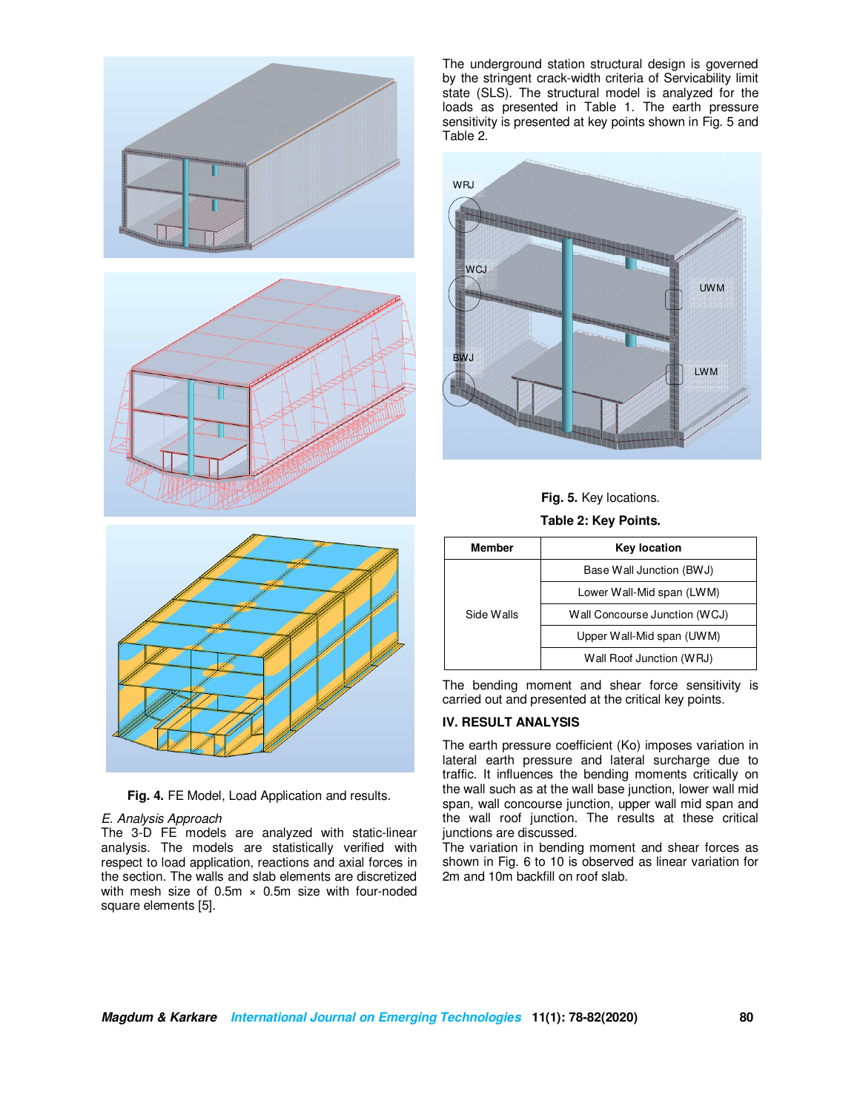



**Fig. 4.** FE Model, Load Application and results.

# *E. Analysis Approach*

The 3-D FE models are analyzed with static-linear analysis. The models are statistically verified with respect to load application, reactions and axial forces in the section. The walls and slab elements are discretized with mesh size of  $0.5m \times 0.5m$  size with four-noded square elements [5].

The underground station structural design is governed by the stringent crack-width criteria of Servicability limit state (SLS). The structural model is analyzed for the loads as presented in Table 1. The earth pressure sensitivity is presented at key points shown in Fig. 5 and Table 2.





**Table 2: Key Points.**

| <b>Member</b> | <b>Key location</b>           |  |  |
|---------------|-------------------------------|--|--|
| Side Walls    | Base Wall Junction (BWJ)      |  |  |
|               | Lower Wall-Mid span (LWM)     |  |  |
|               | Wall Concourse Junction (WCJ) |  |  |
|               | Upper Wall-Mid span (UWM)     |  |  |
|               | Wall Roof Junction (WRJ)      |  |  |

The bending moment and shear force sensitivity is carried out and presented at the critical key points.

# **IV. RESULT ANALYSIS**

The earth pressure coefficient (Ko) imposes variation in lateral earth pressure and lateral surcharge due to traffic. It influences the bending moments critically on the wall such as at the wall base junction, lower wall mid span, wall concourse junction, upper wall mid span and the wall roof junction. The results at these critical junctions are discussed.

The variation in bending moment and shear forces as shown in Fig. 6 to 10 is observed as linear variation for 2m and 10m backfill on roof slab.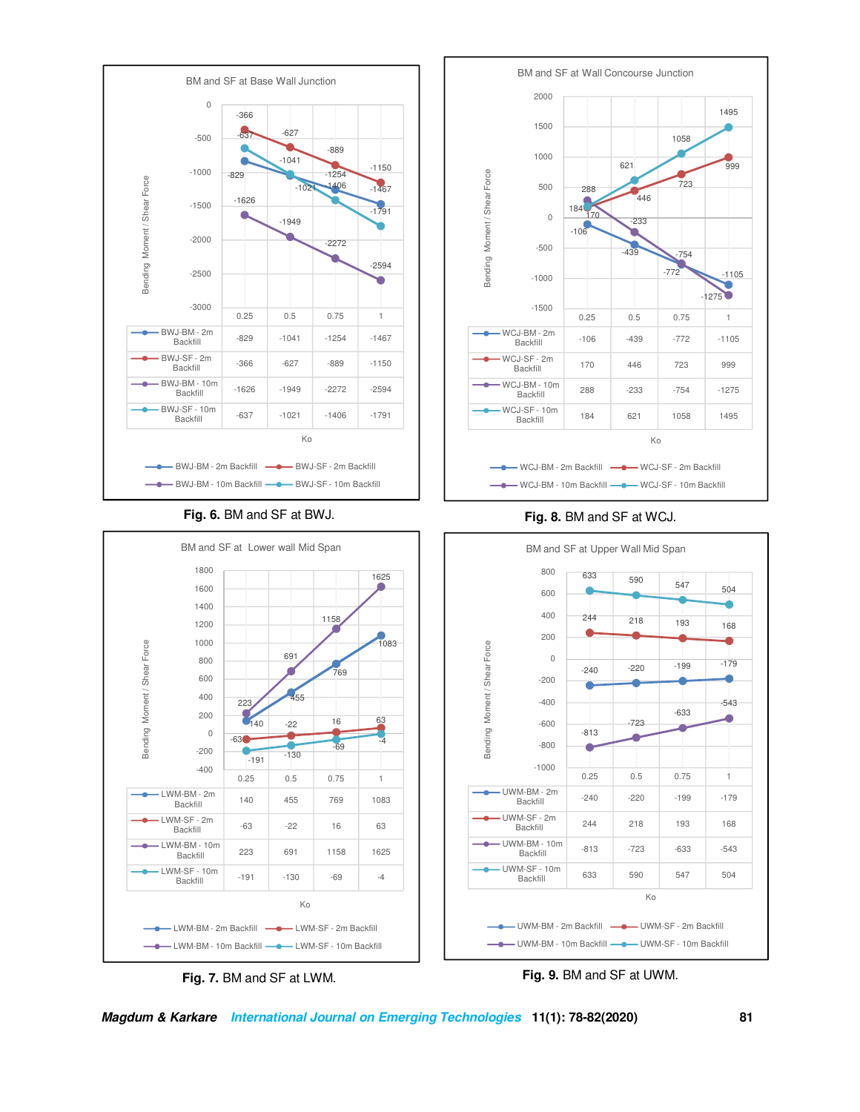







**Magdum & Karkare International Journal on Emerging Technologies 11(1): 78-82(2020) 81**



-543

o

۰

۰